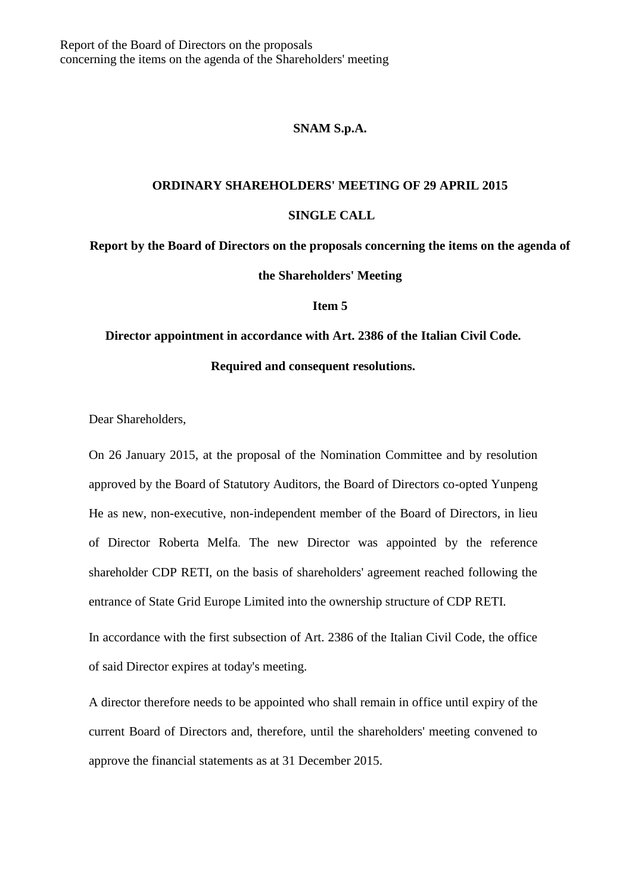## **SNAM S.p.A.**

## **ORDINARY SHAREHOLDERS' MEETING OF 29 APRIL 2015**

## **SINGLE CALL**

**Report by the Board of Directors on the proposals concerning the items on the agenda of the Shareholders' Meeting**

**Item 5**

**Director appointment in accordance with Art. 2386 of the Italian Civil Code.** 

## **Required and consequent resolutions.**

Dear Shareholders,

On 26 January 2015, at the proposal of the Nomination Committee and by resolution approved by the Board of Statutory Auditors, the Board of Directors co-opted Yunpeng He as new, non-executive, non-independent member of the Board of Directors, in lieu of Director Roberta Melfa. The new Director was appointed by the reference shareholder CDP RETI, on the basis of shareholders' agreement reached following the entrance of State Grid Europe Limited into the ownership structure of CDP RETI.

In accordance with the first subsection of Art. 2386 of the Italian Civil Code, the office of said Director expires at today's meeting.

A director therefore needs to be appointed who shall remain in office until expiry of the current Board of Directors and, therefore, until the shareholders' meeting convened to approve the financial statements as at 31 December 2015.